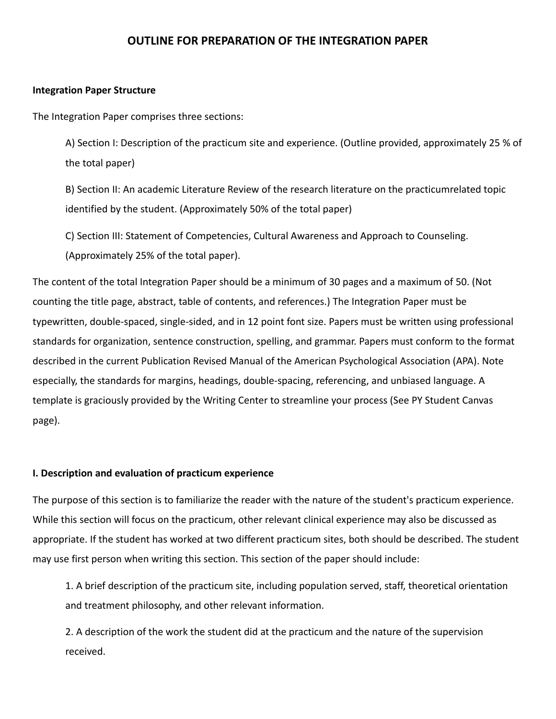# **OUTLINE FOR PREPARATION OF THE INTEGRATION PAPER**

# **Integration Paper Structure**

The Integration Paper comprises three sections:

A) Section I: Description of the practicum site and experience. (Outline provided, approximately 25 % of the total paper)

B) Section II: An academic Literature Review of the research literature on the practicumrelated topic identified by the student. (Approximately 50% of the total paper)

C) Section III: Statement of Competencies, Cultural Awareness and Approach to Counseling. (Approximately 25% of the total paper).

The content of the total Integration Paper should be a minimum of 30 pages and a maximum of 50. (Not counting the title page, abstract, table of contents, and references.) The Integration Paper must be typewritten, double-spaced, single-sided, and in 12 point font size. Papers must be written using professional standards for organization, sentence construction, spelling, and grammar. Papers must conform to the format described in the current Publication Revised Manual of the American Psychological Association (APA). Note especially, the standards for margins, headings, double-spacing, referencing, and unbiased language. A template is graciously provided by the Writing Center to streamline your process (See PY Student Canvas page).

### **I. Description and evaluation of practicum experience**

The purpose of this section is to familiarize the reader with the nature of the student's practicum experience. While this section will focus on the practicum, other relevant clinical experience may also be discussed as appropriate. If the student has worked at two different practicum sites, both should be described. The student may use first person when writing this section. This section of the paper should include:

1. A brief description of the practicum site, including population served, staff, theoretical orientation and treatment philosophy, and other relevant information.

2. A description of the work the student did at the practicum and the nature of the supervision received.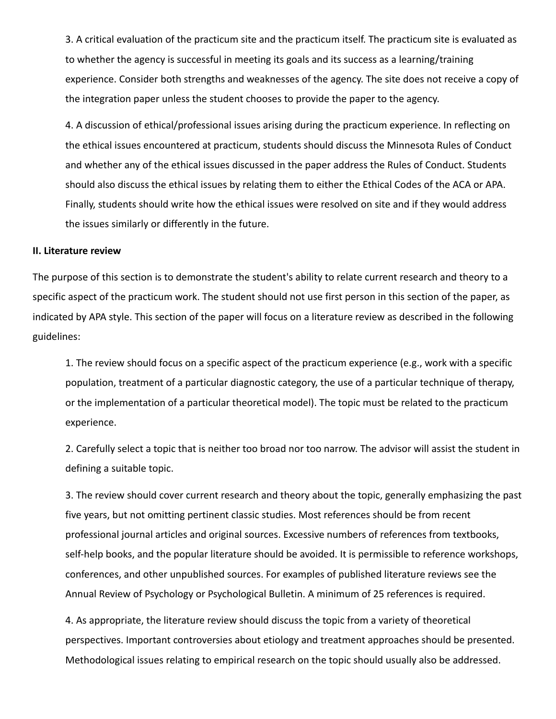3. A critical evaluation of the practicum site and the practicum itself. The practicum site is evaluated as to whether the agency is successful in meeting its goals and its success as a learning/training experience. Consider both strengths and weaknesses of the agency. The site does not receive a copy of the integration paper unless the student chooses to provide the paper to the agency.

4. A discussion of ethical/professional issues arising during the practicum experience. In reflecting on the ethical issues encountered at practicum, students should discuss the Minnesota Rules of Conduct and whether any of the ethical issues discussed in the paper address the Rules of Conduct. Students should also discuss the ethical issues by relating them to either the Ethical Codes of the ACA or APA. Finally, students should write how the ethical issues were resolved on site and if they would address the issues similarly or differently in the future.

### **II. Literature review**

The purpose of this section is to demonstrate the student's ability to relate current research and theory to a specific aspect of the practicum work. The student should not use first person in this section of the paper, as indicated by APA style. This section of the paper will focus on a literature review as described in the following guidelines:

1. The review should focus on a specific aspect of the practicum experience (e.g., work with a specific population, treatment of a particular diagnostic category, the use of a particular technique of therapy, or the implementation of a particular theoretical model). The topic must be related to the practicum experience.

2. Carefully select a topic that is neither too broad nor too narrow. The advisor will assist the student in defining a suitable topic.

3. The review should cover current research and theory about the topic, generally emphasizing the past five years, but not omitting pertinent classic studies. Most references should be from recent professional journal articles and original sources. Excessive numbers of references from textbooks, self-help books, and the popular literature should be avoided. It is permissible to reference workshops, conferences, and other unpublished sources. For examples of published literature reviews see the Annual Review of Psychology or Psychological Bulletin. A minimum of 25 references is required.

4. As appropriate, the literature review should discuss the topic from a variety of theoretical perspectives. Important controversies about etiology and treatment approaches should be presented. Methodological issues relating to empirical research on the topic should usually also be addressed.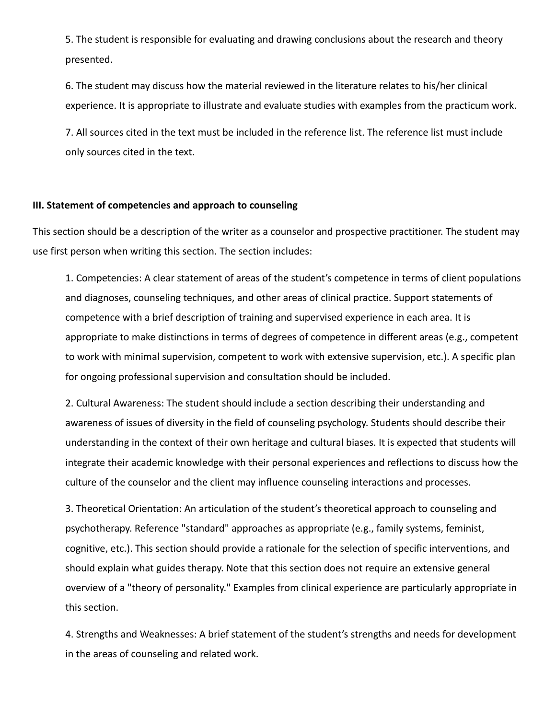5. The student is responsible for evaluating and drawing conclusions about the research and theory presented.

6. The student may discuss how the material reviewed in the literature relates to his/her clinical experience. It is appropriate to illustrate and evaluate studies with examples from the practicum work.

7. All sources cited in the text must be included in the reference list. The reference list must include only sources cited in the text.

# **III. Statement of competencies and approach to counseling**

This section should be a description of the writer as a counselor and prospective practitioner. The student may use first person when writing this section. The section includes:

1. Competencies: A clear statement of areas of the student's competence in terms of client populations and diagnoses, counseling techniques, and other areas of clinical practice. Support statements of competence with a brief description of training and supervised experience in each area. It is appropriate to make distinctions in terms of degrees of competence in different areas (e.g., competent to work with minimal supervision, competent to work with extensive supervision, etc.). A specific plan for ongoing professional supervision and consultation should be included.

2. Cultural Awareness: The student should include a section describing their understanding and awareness of issues of diversity in the field of counseling psychology. Students should describe their understanding in the context of their own heritage and cultural biases. It is expected that students will integrate their academic knowledge with their personal experiences and reflections to discuss how the culture of the counselor and the client may influence counseling interactions and processes.

3. Theoretical Orientation: An articulation of the student's theoretical approach to counseling and psychotherapy. Reference "standard" approaches as appropriate (e.g., family systems, feminist, cognitive, etc.). This section should provide a rationale for the selection of specific interventions, and should explain what guides therapy. Note that this section does not require an extensive general overview of a "theory of personality." Examples from clinical experience are particularly appropriate in this section.

4. Strengths and Weaknesses: A brief statement of the student's strengths and needs for development in the areas of counseling and related work.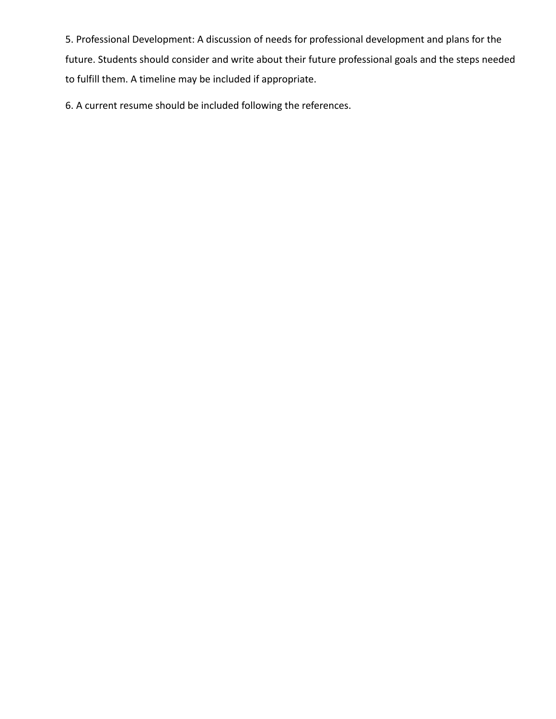5. Professional Development: A discussion of needs for professional development and plans for the future. Students should consider and write about their future professional goals and the steps needed to fulfill them. A timeline may be included if appropriate.

6. A current resume should be included following the references.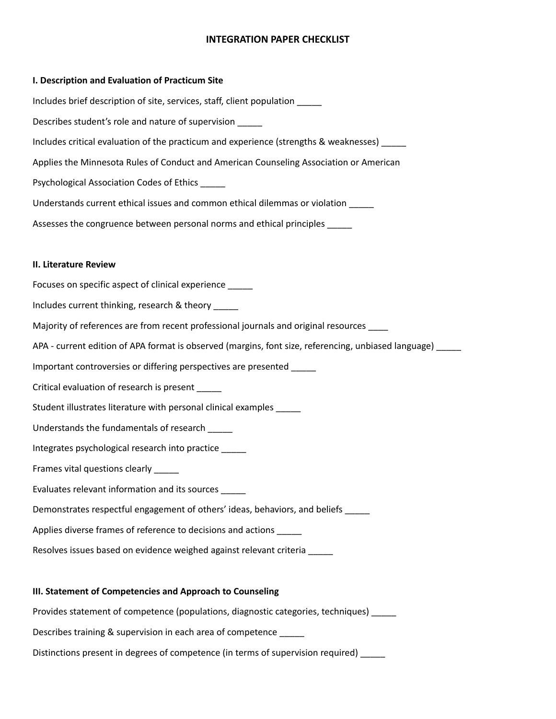# **INTEGRATION PAPER CHECKLIST**

#### **I. Description and Evaluation of Practicum Site**

Includes brief description of site, services, staff, client population \_\_\_\_\_ Describes student's role and nature of supervision \_\_\_\_\_ Includes critical evaluation of the practicum and experience (strengths & weaknesses) \_\_\_\_\_ Applies the Minnesota Rules of Conduct and American Counseling Association or American Psychological Association Codes of Ethics \_\_\_\_\_ Understands current ethical issues and common ethical dilemmas or violation \_\_\_\_\_ Assesses the congruence between personal norms and ethical principles \_\_\_\_\_

#### **II. Literature Review**

Focuses on specific aspect of clinical experience \_\_\_\_\_ Includes current thinking, research & theory \_\_\_\_\_ Majority of references are from recent professional journals and original resources \_\_\_\_ APA - current edition of APA format is observed (margins, font size, referencing, unbiased language) \_\_\_\_\_ Important controversies or differing perspectives are presented \_\_\_\_\_ Critical evaluation of research is present Student illustrates literature with personal clinical examples \_\_\_\_\_ Understands the fundamentals of research \_\_\_\_\_ Integrates psychological research into practice \_\_\_\_\_ Frames vital questions clearly **with the state** Evaluates relevant information and its sources \_\_\_\_\_ Demonstrates respectful engagement of others' ideas, behaviors, and beliefs \_\_\_\_\_ Applies diverse frames of reference to decisions and actions \_\_\_\_\_ Resolves issues based on evidence weighed against relevant criteria \_\_\_\_\_

### **III. Statement of Competencies and Approach to Counseling**

Provides statement of competence (populations, diagnostic categories, techniques)

Describes training & supervision in each area of competence \_\_\_\_\_\_

Distinctions present in degrees of competence (in terms of supervision required) \_\_\_\_\_